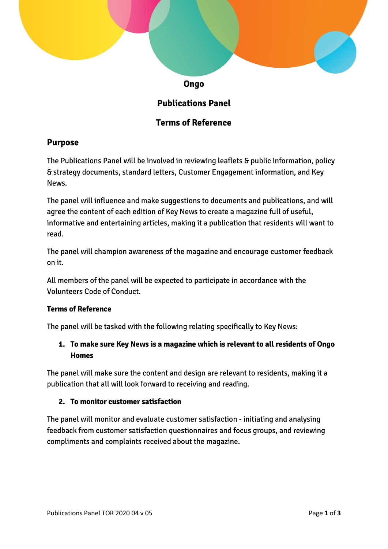

# **Publications Panel**

# **Terms of Reference**

# **Purpose**

The Publications Panel will be involved in reviewing leaflets & public information, policy & strategy documents, standard letters, Customer Engagement information, and Key News.

The panel will influence and make suggestions to documents and publications, and will agree the content of each edition of Key News to create a magazine full of useful, informative and entertaining articles, making it a publication that residents will want to read.

The panel will champion awareness of the magazine and encourage customer feedback on it.

All members of the panel will be expected to participate in accordance with the Volunteers Code of Conduct.

## **Terms of Reference**

The panel will be tasked with the following relating specifically to Key News:

# **1. To make sure Key News is a magazine which is relevant to all residents of Ongo Homes**

The panel will make sure the content and design are relevant to residents, making it a publication that all will look forward to receiving and reading.

#### **2. To monitor customer satisfaction**

The panel will monitor and evaluate customer satisfaction - initiating and analysing feedback from customer satisfaction questionnaires and focus groups, and reviewing compliments and complaints received about the magazine.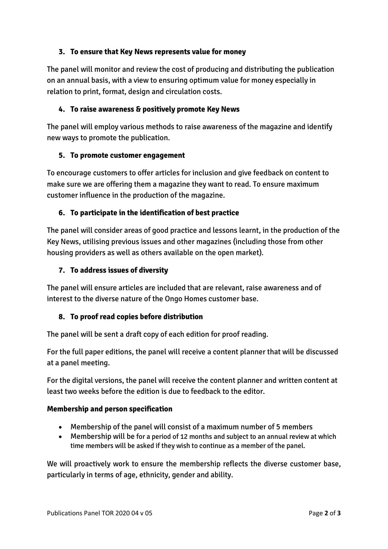## **3. To ensure that Key News represents value for money**

The panel will monitor and review the cost of producing and distributing the publication on an annual basis, with a view to ensuring optimum value for money especially in relation to print, format, design and circulation costs.

#### **4. To raise awareness & positively promote Key News**

The panel will employ various methods to raise awareness of the magazine and identify new ways to promote the publication.

#### **5. To promote customer engagement**

To encourage customers to offer articles for inclusion and give feedback on content to make sure we are offering them a magazine they want to read. To ensure maximum customer influence in the production of the magazine.

#### **6. To participate in the identification of best practice**

The panel will consider areas of good practice and lessons learnt, in the production of the Key News, utilising previous issues and other magazines (including those from other housing providers as well as others available on the open market).

#### **7. To address issues of diversity**

The panel will ensure articles are included that are relevant, raise awareness and of interest to the diverse nature of the Ongo Homes customer base.

#### **8. To proof read copies before distribution**

The panel will be sent a draft copy of each edition for proof reading.

For the full paper editions, the panel will receive a content planner that will be discussed at a panel meeting.

For the digital versions, the panel will receive the content planner and written content at least two weeks before the edition is due to feedback to the editor.

#### **Membership and person specification**

- Membership of the panel will consist of a maximum number of 5 members
- Membership will be for a period of 12 months and subject to an annual review at which time members will be asked if they wish to continue as a member of the panel.

We will proactively work to ensure the membership reflects the diverse customer base, particularly in terms of age, ethnicity, gender and ability.